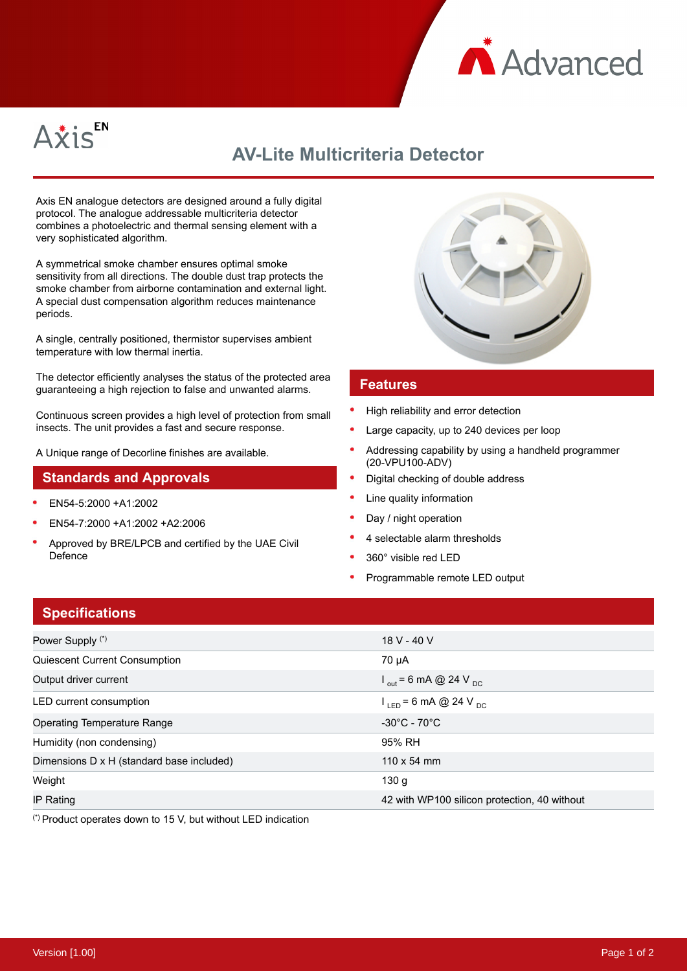



# **AV-Lite Multicriteria Detector**

Axis EN analogue detectors are designed around a fully digital protocol. The analogue addressable multicriteria detector combines a photoelectric and thermal sensing element with a very sophisticated algorithm.

A symmetrical smoke chamber ensures optimal smoke sensitivity from all directions. The double dust trap protects the smoke chamber from airborne contamination and external light. A special dust compensation algorithm reduces maintenance periods.

A single, centrally positioned, thermistor supervises ambient temperature with low thermal inertia.

The detector efficiently analyses the status of the protected area guaranteeing a high rejection to false and unwanted alarms.

Continuous screen provides a high level of protection from small insects. The unit provides a fast and secure response.

A Unique range of Decorline finishes are available.

### **Standards and Approvals**

- EN54-5:2000 +A1:2002
- EN54-7:2000 +A1:2002 +A2:2006
- Approved by BRE/LPCB and certified by the UAE Civil Defence



#### **Features**

- High reliability and error detection
- Large capacity, up to 240 devices per loop
- Addressing capability by using a handheld programmer (20-VPU100-ADV)
- Digital checking of double address
- Line quality information
- Day / night operation
- 4 selectable alarm thresholds
- 360° visible red LED
- Programmable remote LED output

## **Specifications**

| Power Supply (*)                          | 18 V - 40 V                                  |
|-------------------------------------------|----------------------------------------------|
| Quiescent Current Consumption             | 70 µA                                        |
| Output driver current                     | $I_{\text{out}}$ = 6 mA @ 24 V <sub>DC</sub> |
| LED current consumption                   | $I_{LED}$ = 6 mA @ 24 V <sub>DC</sub>        |
| Operating Temperature Range               | $-30^{\circ}$ C - 70 $^{\circ}$ C            |
| Humidity (non condensing)                 | 95% RH                                       |
| Dimensions D x H (standard base included) | $110 \times 54$ mm                           |
| Weight                                    | 130q                                         |
| IP Rating                                 | 42 with WP100 silicon protection, 40 without |

(\*) Product operates down to 15 V, but without LED indication